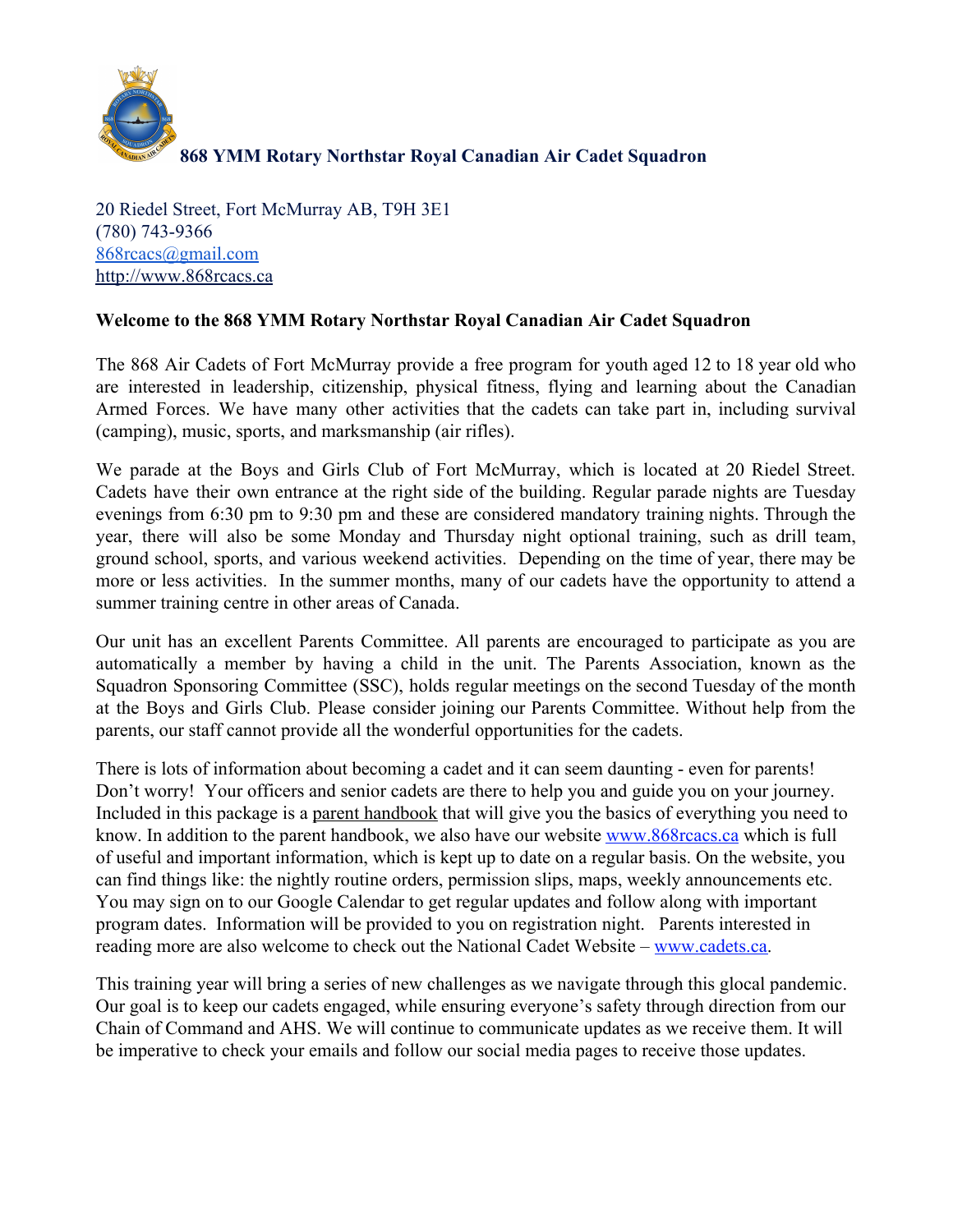

20 Riedel Street, Fort McMurray AB, T9H 3E1 (780) 743-9366 [868rcacs@gmail.com](mailto:868rcacs@gmail.com) [http://www.868rcacs.ca](http://www.868rcacs.ca/)

## **Welcome to the 868 YMM Rotary Northstar Royal Canadian Air Cadet Squadron**

The 868 Air Cadets of Fort McMurray provide a free program for youth aged 12 to 18 year old who are interested in leadership, citizenship, physical fitness, flying and learning about the Canadian Armed Forces. We have many other activities that the cadets can take part in, including survival (camping), music, sports, and marksmanship (air rifles).

We parade at the Boys and Girls Club of Fort McMurray, which is located at 20 Riedel Street. Cadets have their own entrance at the right side of the building. Regular parade nights are Tuesday evenings from 6:30 pm to 9:30 pm and these are considered mandatory training nights. Through the year, there will also be some Monday and Thursday night optional training, such as drill team, ground school, sports, and various weekend activities. Depending on the time of year, there may be more or less activities. In the summer months, many of our cadets have the opportunity to attend a summer training centre in other areas of Canada.

Our unit has an excellent Parents Committee. All parents are encouraged to participate as you are automatically a member by having a child in the unit. The Parents Association, known as the Squadron Sponsoring Committee (SSC), holds regular meetings on the second Tuesday of the month at the Boys and Girls Club. Please consider joining our Parents Committee. Without help from the parents, our staff cannot provide all the wonderful opportunities for the cadets.

There is lots of information about becoming a cadet and it can seem daunting - even for parents! Don't worry! Your officers and senior cadets are there to help you and guide you on your journey. Included in this package is a parent handbook that will give you the basics of everything you need to know. In addition to the parent handbook, we also have our website [www.868rcacs.ca](http://www.868rcacs.ca/) which is full of useful and important information, which is kept up to date on a regular basis. On the website, you can find things like: the nightly routine orders, permission slips, maps, weekly announcements etc. You may sign on to our Google Calendar to get regular updates and follow along with important program dates. Information will be provided to you on registration night. Parents interested in reading more are also welcome to check out the National Cadet Website – [www.cadets.ca.](http://www.cadets.ca/)

This training year will bring a series of new challenges as we navigate through this glocal pandemic. Our goal is to keep our cadets engaged, while ensuring everyone's safety through direction from our Chain of Command and AHS. We will continue to communicate updates as we receive them. It will be imperative to check your emails and follow our social media pages to receive those updates.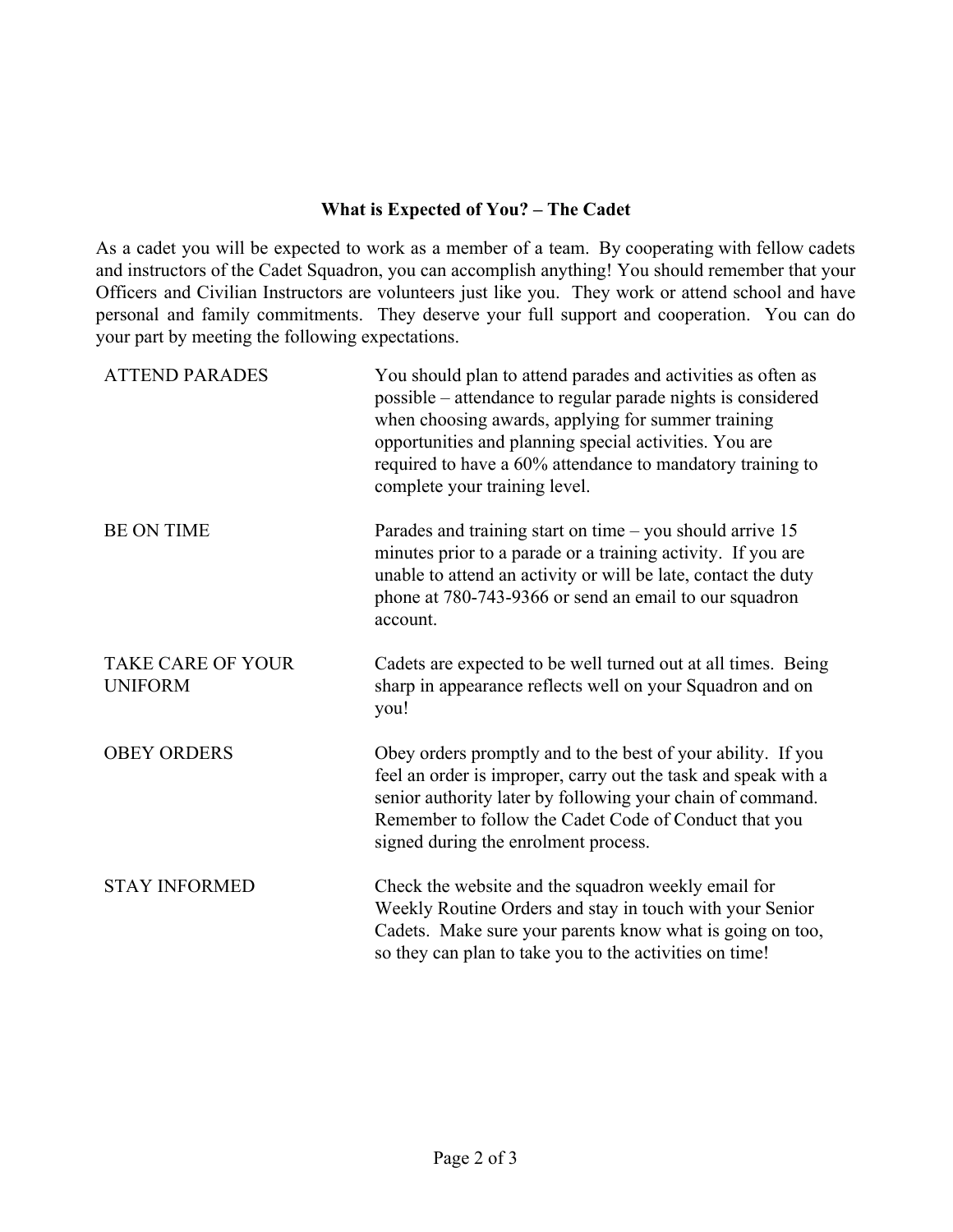## **What is Expected of You? – The Cadet**

As a cadet you will be expected to work as a member of a team. By cooperating with fellow cadets and instructors of the Cadet Squadron, you can accomplish anything! You should remember that your Officers and Civilian Instructors are volunteers just like you. They work or attend school and have personal and family commitments. They deserve your full support and cooperation. You can do your part by meeting the following expectations.

| <b>ATTEND PARADES</b>                      | You should plan to attend parades and activities as often as<br>possible – attendance to regular parade nights is considered<br>when choosing awards, applying for summer training<br>opportunities and planning special activities. You are<br>required to have a 60% attendance to mandatory training to<br>complete your training level. |
|--------------------------------------------|---------------------------------------------------------------------------------------------------------------------------------------------------------------------------------------------------------------------------------------------------------------------------------------------------------------------------------------------|
| <b>BE ON TIME</b>                          | Parades and training start on time $-$ you should arrive 15<br>minutes prior to a parade or a training activity. If you are<br>unable to attend an activity or will be late, contact the duty<br>phone at 780-743-9366 or send an email to our squadron<br>account.                                                                         |
| <b>TAKE CARE OF YOUR</b><br><b>UNIFORM</b> | Cadets are expected to be well turned out at all times. Being<br>sharp in appearance reflects well on your Squadron and on<br>you!                                                                                                                                                                                                          |
| <b>OBEY ORDERS</b>                         | Obey orders promptly and to the best of your ability. If you<br>feel an order is improper, carry out the task and speak with a<br>senior authority later by following your chain of command.<br>Remember to follow the Cadet Code of Conduct that you<br>signed during the enrolment process.                                               |
| <b>STAY INFORMED</b>                       | Check the website and the squadron weekly email for<br>Weekly Routine Orders and stay in touch with your Senior<br>Cadets. Make sure your parents know what is going on too,<br>so they can plan to take you to the activities on time!                                                                                                     |